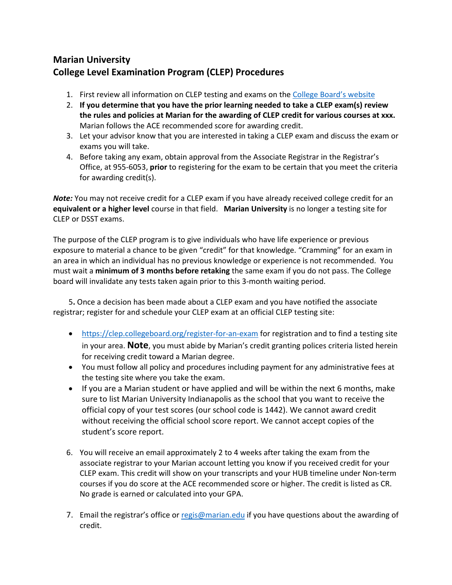## **Marian University College Level Examination Program (CLEP) Procedures**

- 1. First review all information on CLEP testing and exams on th[e College Board's website](https://clep.collegeboard.org/?ef_id=EAIaIQobChMIu57D5Zf88gIV0eDICh3_pgHLEAAYASAAEgIu7PD_BwE:G:s&s_kwcid=AL!4330!3!520944212283!e!!g!!clep!1493550655!57249012203&gclid=EAIaIQobChMIu57D5Zf88gIV0eDICh3_pgHLEAAYASAAEgIu7PD_BwE)
- 2. **If you determine that you have the prior learning needed to take a CLEP exam(s) review the rules and policies at Marian for the awarding of CLEP credit for various courses at xxx.**  Marian follows the ACE recommended score for awarding credit.
- 3. Let your advisor know that you are interested in taking a CLEP exam and discuss the exam or exams you will take.
- 4. Before taking any exam, obtain approval from the Associate Registrar in the Registrar's Office, at 955-6053, **prior** to registering for the exam to be certain that you meet the criteria for awarding credit(s).

*Note:* You may not receive credit for a CLEP exam if you have already received college credit for an **equivalent or a higher level** course in that field. **Marian University** is no longer a testing site for CLEP or DSST exams.

The purpose of the CLEP program is to give individuals who have life experience or previous exposure to material a chance to be given "credit" for that knowledge. "Cramming" for an exam in an area in which an individual has no previous knowledge or experience is not recommended. You must wait a **minimum of 3 months before retaking** the same exam if you do not pass. The College board will invalidate any tests taken again prior to this 3-month waiting period.

5**.** Once a decision has been made about a CLEP exam and you have notified the associate registrar; register for and schedule your CLEP exam at an official CLEP testing site:

- <https://clep.collegeboard.org/register-for-an-exam> for registration and to find a testing site in your area. **Note**, you must abide by Marian's credit granting polices criteria listed herein for receiving credit toward a Marian degree.
- You must follow all policy and procedures including payment for any administrative fees at the testing site where you take the exam.
- If you are a Marian student or have applied and will be within the next 6 months, make sure to list Marian University Indianapolis as the school that you want to receive the official copy of your test scores (our school code is 1442). We cannot award credit without receiving the official school score report. We cannot accept copies of the student's score report.
- 6. You will receive an email approximately 2 to 4 weeks after taking the exam from the associate registrar to your Marian account letting you know if you received credit for your CLEP exam. This credit will show on your transcripts and your HUB timeline under Non-term courses if you do score at the ACE recommended score or higher. The credit is listed as CR. No grade is earned or calculated into your GPA.
- 7. Email the registrar's office o[r regis@marian.edu](mailto:regis@marian.edu) if you have questions about the awarding of credit.